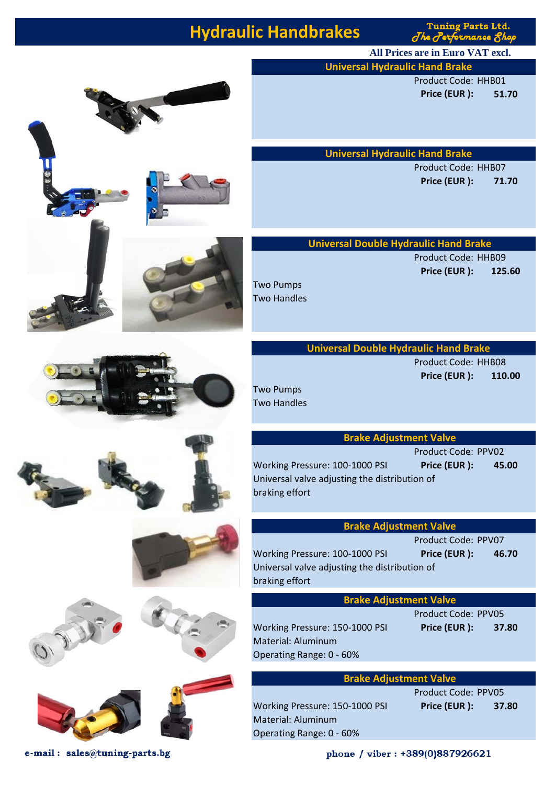# **Hydraulic Handbrakes**

**Tuning Parts Ltd.** The Performance 8h

**All Prices are in Euro VAT excl.**

**Universal Hydraulic Hand Brake** 

Product Code: HHB01 **Price (EUR ): 51.70**

**Universal Hydraulic Hand Brake** 

Product Code: HHB07 **Price (EUR ): 71.70**



Product Code: HHB09 **Price (EUR ): 125.60**

#### **Universal Double Hydraulic Hand Brake**

Product Code: HHB08 **Price (EUR ): 110.00**

#### **Brake Adjustment Valve**

Product Code: PPV02 Working Pressure: 100-1000 PSI **Price (EUR ): 45.00** Universal valve adjusting the distribution of

### **Brake Adjustment Valve**

Product Code: PPV07

Working Pressure: 100-1000 PSI **Price (EUR ): 46.70** Universal valve adjusting the distribution of

#### **Brake Adjustment Valve**

Working Pressure: 150-1000 PSI **Price (EUR ): 37.80** Material: Aluminum Operating Range: 0 - 60%

Product Code: PPV05

#### **Brake Adjustment Valve**

Working Pressure: 150-1000 PSI **Price (EUR ): 37.80** Material: Aluminum Operating Range: 0 - 60%

Product Code: PPV05

phone / viber: +389(0)887926621









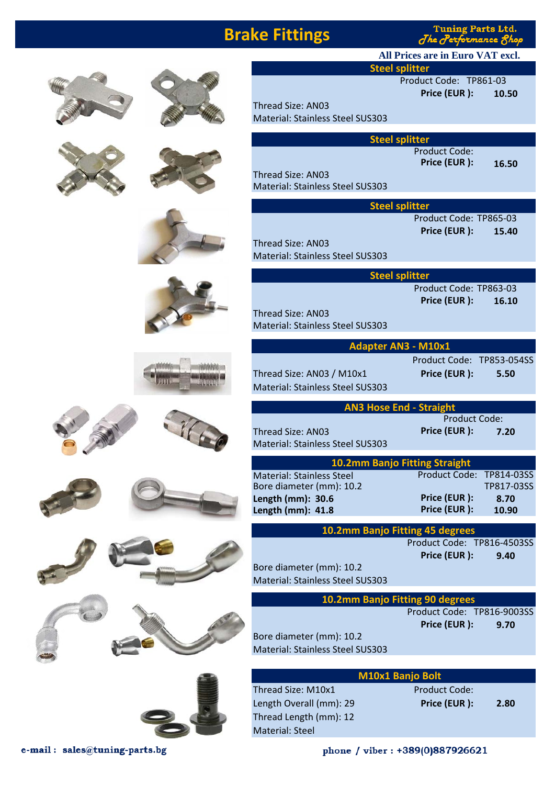### **Brake Fittings**

**Tuning Parts Ltd.**  $J$ he Performance  $\mathcal S$ 

**All Prices are in Euro VAT excl.**

**Steel splitter**

Product Code: ТР861-03 **Price (EUR ): 10.50**

Thread Size: AN03 Material: Stainless Steel SUS303

**Steel splitter**

Product Code: **Price (EUR ): 16.50**

Thread Size: AN03 Material: Stainless Steel SUS303

| <b>Steel splitter</b>                   |                        |       |  |  |
|-----------------------------------------|------------------------|-------|--|--|
|                                         | Product Code: TP865-03 |       |  |  |
|                                         | Price (EUR):           | 15.40 |  |  |
| Thread Size: AN03                       |                        |       |  |  |
| <b>Material: Stainless Steel SUS303</b> |                        |       |  |  |
|                                         |                        |       |  |  |
|                                         |                        |       |  |  |

**Steel splitter** Product Code: ТР863-03 **Price (EUR ): 16.10** Material: Stainless Steel SUS303

| <b>Adapter AN3 - M10x1</b> |                        |      |
|----------------------------|------------------------|------|
|                            | Product Code: TP853-05 |      |
| Thread Size: AN03 / M10x1  | Price (EUR):           | 5.50 |

uct Code: TP853-054SS

| Material: Stainless Steel SUS303 |  |
|----------------------------------|--|
|                                  |  |
| <b>AN3 Hose End</b>              |  |

Thread Size: AN03 **Price (EUR ): 7.20**

**- Straight** Product Code:

| <b>10.2mm Banjo Fitting Straight</b> |                          |            |
|--------------------------------------|--------------------------|------------|
| <b>Material: Stainless Steel</b>     | Product Code: TP814-03SS |            |
| Bore diameter (mm): 10.2             |                          | TP817-03SS |
| Length (mm): 30.6                    | Price (EUR):             | 8.70       |
| Length (mm): 41.8                    | Price (EUR):             | 10.90      |
|                                      |                          |            |

**10.2mm Banjo Fitting 45 degrees** 

Product Code: ТР816-4503SS **Price (EUR ): 9.40**

Material: Stainless Steel SUS303

#### **10.2mm Banjo Fitting 90 degrees**

Product Code: ТР816-9003SS **Price (EUR ): 9.70**

Bore diameter (mm): 10.2 Material: Stainless Steel SUS303

| <b>M10x1 Banjo Bolt</b> |  |
|-------------------------|--|
|                         |  |

Length Overall (mm): 29 **Price (EUR ): 2.80** Thread Length (mm): 12 Material: Steel